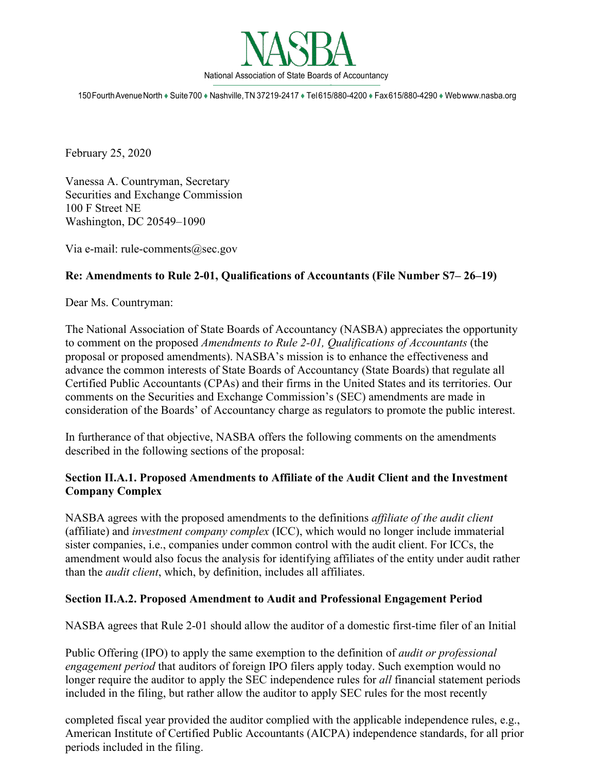

150FourthAvenueNorth♦Suite700♦Nashville,TN 37219-2417♦Tel615/880-4200♦Fax615/880-4290♦We[bwww.nasba.org](http://www.nasba.org/)

February 25, 2020

Vanessa A. Countryman, Secretary Securities and Exchange Commission 100 F Street NE Washington, DC 20549–1090

Via e-mail: [rule-comments@sec.gov](mailto:rule-comments@sec.gov)

#### **Re: Amendments to Rule 2-01, Qualifications of Accountants (File Number S7– 26–19)**

Dear Ms. Countryman:

The National Association of State Boards of Accountancy (NASBA) appreciates the opportunity to comment on the proposed *Amendments to Rule 2-01, Qualifications of Accountants* (the proposal or proposed amendments). NASBA's mission is to enhance the effectiveness and advance the common interests of State Boards of Accountancy (State Boards) that regulate all Certified Public Accountants (CPAs) and their firms in the United States and its territories. Our comments on the Securities and Exchange Commission's (SEC) amendments are made in consideration of the Boards' of Accountancy charge as regulators to promote the public interest.

In furtherance of that objective, NASBA offers the following comments on the amendments described in the following sections of the proposal:

#### **Section II.A.1. Proposed Amendments to Affiliate of the Audit Client and the Investment Company Complex**

NASBA agrees with the proposed amendments to the definitions *affiliate of the audit client*  (affiliate) and *investment company complex* (ICC), which would no longer include immaterial sister companies, i.e., companies under common control with the audit client. For ICCs, the amendment would also focus the analysis for identifying affiliates of the entity under audit rather than the *audit client*, which, by definition, includes all affiliates.

#### **Section II.A.2. Proposed Amendment to Audit and Professional Engagement Period**

NASBA agrees that Rule 2-01 should allow the auditor of a domestic first-time filer of an Initial

Public Offering (IPO) to apply the same exemption to the definition of *audit or professional engagement period* that auditors of foreign IPO filers apply today. Such exemption would no longer require the auditor to apply the SEC independence rules for *all* financial statement periods included in the filing, but rather allow the auditor to apply SEC rules for the most recently

completed fiscal year provided the auditor complied with the applicable independence rules, e.g., American Institute of Certified Public Accountants (AICPA) independence standards, for all prior periods included in the filing.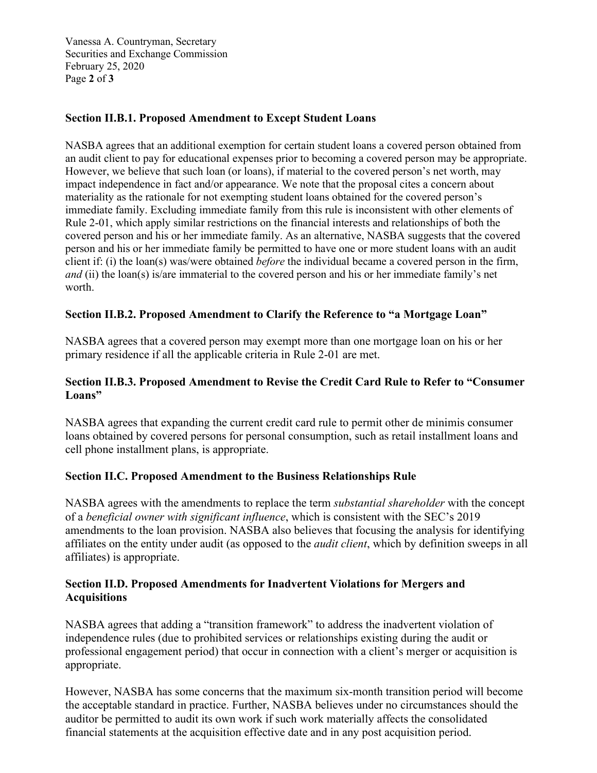Vanessa A. Countryman, Secretary Securities and Exchange Commission February 25, 2020 Page **2** of **3**

## **Section II.B.1. Proposed Amendment to Except Student Loans**

NASBA agrees that an additional exemption for certain student loans a covered person obtained from an audit client to pay for educational expenses prior to becoming a covered person may be appropriate. However, we believe that such loan (or loans), if material to the covered person's net worth, may impact independence in fact and/or appearance. We note that the proposal cites a concern about materiality as the rationale for not exempting student loans obtained for the covered person's immediate family. Excluding immediate family from this rule is inconsistent with other elements of Rule 2-01, which apply similar restrictions on the financial interests and relationships of both the covered person and his or her immediate family. As an alternative, NASBA suggests that the covered person and his or her immediate family be permitted to have one or more student loans with an audit client if: (i) the loan(s) was/were obtained *before* the individual became a covered person in the firm, *and* (ii) the loan(s) is/are immaterial to the covered person and his or her immediate family's net worth.

## **Section II.B.2. Proposed Amendment to Clarify the Reference to "a Mortgage Loan"**

NASBA agrees that a covered person may exempt more than one mortgage loan on his or her primary residence if all the applicable criteria in Rule 2-01 are met.

## **Section II.B.3. Proposed Amendment to Revise the Credit Card Rule to Refer to "Consumer Loans"**

NASBA agrees that expanding the current credit card rule to permit other de minimis consumer loans obtained by covered persons for personal consumption, such as retail installment loans and cell phone installment plans, is appropriate.

## **Section II.C. Proposed Amendment to the Business Relationships Rule**

NASBA agrees with the amendments to replace the term *substantial shareholder* with the concept of a *beneficial owner with significant influence*, which is consistent with the SEC's 2019 amendments to the loan provision. NASBA also believes that focusing the analysis for identifying affiliates on the entity under audit (as opposed to the *audit client*, which by definition sweeps in all affiliates) is appropriate.

#### **Section II.D. Proposed Amendments for Inadvertent Violations for Mergers and Acquisitions**

NASBA agrees that adding a "transition framework" to address the inadvertent violation of independence rules (due to prohibited services or relationships existing during the audit or professional engagement period) that occur in connection with a client's merger or acquisition is appropriate.

However, NASBA has some concerns that the maximum six-month transition period will become the acceptable standard in practice. Further, NASBA believes under no circumstances should the auditor be permitted to audit its own work if such work materially affects the consolidated financial statements at the acquisition effective date and in any post acquisition period.